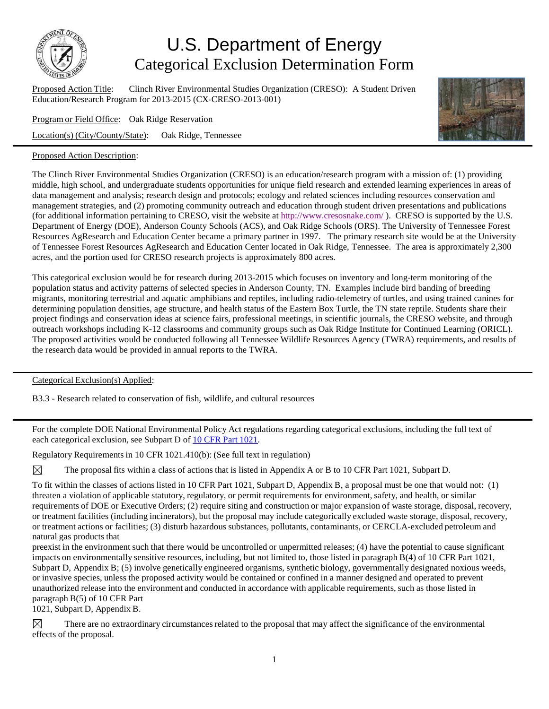

## U.S. Department of Energy Categorical Exclusion Determination Form

Proposed Action Title: Clinch River Environmental Studies Organization (CRESO): A Student Driven Education/Research Program for 2013-2015 (CX-CRESO-2013-001)

Program or Field Office: Oak Ridge Reservation

Location(s) (City/County/State): Oak Ridge, Tennessee

## Proposed Action Description:



The Clinch River Environmental Studies Organization (CRESO) is an education/research program with a mission of: (1) providing middle, high school, and undergraduate students opportunities for unique field research and extended learning experiences in areas of data management and analysis; research design and protocols; ecology and related sciences including resources conservation and management strategies, and (2) promoting community outreach and education through student driven presentations and publications (for additional information pertaining to CRESO, visit the website at http://www.cresosnake.com/). CRESO is supported by the U.S. Department of Energy (DOE), Anderson County Schools (ACS), and Oak Ridge Schools (ORS). The University of Tennessee Forest Resources AgResearch and Education Center became a primary partner in 1997. The primary research site would be at the University of Tennessee Forest Resources AgResearch and Education Center located in Oak Ridge, Tennessee. The area is approximately 2,300 acres, and the portion used for CRESO research projects is approximately 800 acres.

This categorical exclusion would be for research during 2013-2015 which focuses on inventory and long-term monitoring of the population status and activity patterns of selected species in Anderson County, TN. Examples include bird banding of breeding migrants, monitoring terrestrial and aquatic amphibians and reptiles, including radio-telemetry of turtles, and using trained canines for determining population densities, age structure, and health status of the Eastern Box Turtle, the TN state reptile. Students share their project findings and conservation ideas at science fairs, professional meetings, in scientific journals, the CRESO website, and through outreach workshops including K-12 classrooms and community groups such as Oak Ridge Institute for Continued Learning (ORICL). The proposed activities would be conducted following all Tennessee Wildlife Resources Agency (TWRA) requirements, and results of the research data would be provided in annual reports to the TWRA.

Categorical Exclusion(s) Applied:

B3.3 - Research related to conservation of fish, wildlife, and cultural resources

For the complete DOE National Environmental Policy Act regulations regarding categorical exclusions, including the full text of each categorical exclusion, see Subpart D of 10 CFR Part [1021.](http://energy.gov/nepa/downloads/10-cfr-1021-department-energy-national-environmental-policy-act-implementing)

Regulatory Requirements in 10 CFR 1021.410(b): (See full text in regulation)

⊠ The proposal fits within a class of actions that is listed in Appendix A or B to 10 CFR Part 1021, Subpart D.

To fit within the classes of actions listed in 10 CFR Part 1021, Subpart D, Appendix B, a proposal must be one that would not: (1) threaten a violation of applicable statutory, regulatory, or permit requirements for environment, safety, and health, or similar requirements of DOE or Executive Orders; (2) require siting and construction or major expansion of waste storage, disposal, recovery, or treatment facilities (including incinerators), but the proposal may include categorically excluded waste storage, disposal, recovery, or treatment actions or facilities; (3) disturb hazardous substances, pollutants, contaminants, or CERCLA-excluded petroleum and natural gas products that

preexist in the environment such that there would be uncontrolled or unpermitted releases; (4) have the potential to cause significant impacts on environmentally sensitive resources, including, but not limited to, those listed in paragraph B(4) of 10 CFR Part 1021, Subpart D, Appendix B; (5) involve genetically engineered organisms, synthetic biology, governmentally designated noxious weeds, or invasive species, unless the proposed activity would be contained or confined in a manner designed and operated to prevent unauthorized release into the environment and conducted in accordance with applicable requirements, such as those listed in paragraph B(5) of 10 CFR Part

1021, Subpart D, Appendix B.

There are no extraordinary circumstances related to the proposal that may affect the significance of the environmental ⊠ effects of the proposal.